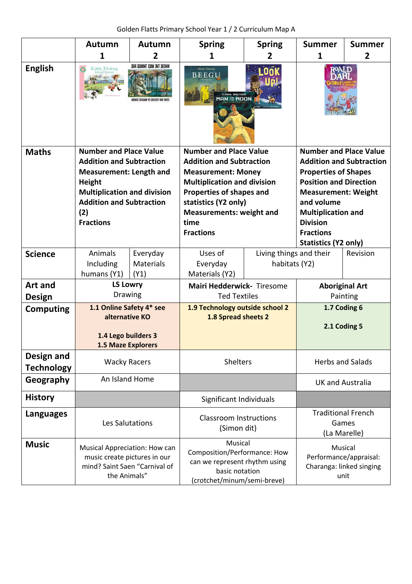Golden Flatts Primary School Year 1 / 2 Curriculum Map A

|                                 | Autumn                                                                                                                                                                                                           | Autumn                        | <b>Spring</b>                                                                                                                                                                                                                                          | <b>Spring</b>                       | <b>Summer</b>                                                                                                                                                                                                                                                            | <b>Summer</b> |  |
|---------------------------------|------------------------------------------------------------------------------------------------------------------------------------------------------------------------------------------------------------------|-------------------------------|--------------------------------------------------------------------------------------------------------------------------------------------------------------------------------------------------------------------------------------------------------|-------------------------------------|--------------------------------------------------------------------------------------------------------------------------------------------------------------------------------------------------------------------------------------------------------------------------|---------------|--|
|                                 | 1                                                                                                                                                                                                                | 2                             | 1                                                                                                                                                                                                                                                      | 2                                   | 1                                                                                                                                                                                                                                                                        | 2             |  |
| <b>English</b>                  | Katie Morag                                                                                                                                                                                                      | WHERE THE WILD THINGS ARE     | <b>Alexis Deacon</b><br><b>BEEGU</b>                                                                                                                                                                                                                   | SIMON BARTRAM<br><b>IAN AL MOON</b> |                                                                                                                                                                                                                                                                          |               |  |
| <b>Maths</b>                    | <b>Number and Place Value</b><br><b>Addition and Subtraction</b><br><b>Measurement: Length and</b><br>Height<br><b>Multiplication and division</b><br><b>Addition and Subtraction</b><br>(2)<br><b>Fractions</b> |                               | <b>Number and Place Value</b><br><b>Addition and Subtraction</b><br><b>Measurement: Money</b><br><b>Multiplication and division</b><br>Properties of shapes and<br>statistics (Y2 only)<br><b>Measurements: weight and</b><br>time<br><b>Fractions</b> |                                     | <b>Number and Place Value</b><br><b>Addition and Subtraction</b><br><b>Properties of Shapes</b><br><b>Position and Direction</b><br><b>Measurement: Weight</b><br>and volume<br><b>Multiplication and</b><br><b>Division</b><br><b>Fractions</b><br>Statistics (Y2 only) |               |  |
| <b>Science</b>                  | Animals<br>Including<br>humans (Y1)                                                                                                                                                                              | Everyday<br>Materials<br>(Y1) | Uses of<br>Everyday<br>Materials (Y2)                                                                                                                                                                                                                  |                                     | Living things and their<br>Revision<br>habitats (Y2)                                                                                                                                                                                                                     |               |  |
| Art and                         | <b>LS Lowry</b>                                                                                                                                                                                                  |                               | Mairi Hedderwick- Tiresome                                                                                                                                                                                                                             |                                     | <b>Aboriginal Art</b>                                                                                                                                                                                                                                                    |               |  |
| <b>Design</b>                   | Drawing                                                                                                                                                                                                          |                               | <b>Ted Textiles</b>                                                                                                                                                                                                                                    |                                     | Painting                                                                                                                                                                                                                                                                 |               |  |
| <b>Computing</b>                | 1.1 Online Safety 4* see<br>alternative KO<br>1.4 Lego builders 3<br><b>1.5 Maze Explorers</b>                                                                                                                   |                               | 1.9 Technology outside school 2<br>1.8 Spread sheets 2                                                                                                                                                                                                 |                                     | 1.7 Coding 6<br>2.1 Coding 5                                                                                                                                                                                                                                             |               |  |
| Design and<br><b>Technology</b> | <b>Wacky Racers</b>                                                                                                                                                                                              |                               | Shelters                                                                                                                                                                                                                                               |                                     | <b>Herbs and Salads</b>                                                                                                                                                                                                                                                  |               |  |
| Geography                       | An Island Home                                                                                                                                                                                                   |                               |                                                                                                                                                                                                                                                        |                                     | <b>UK and Australia</b>                                                                                                                                                                                                                                                  |               |  |
| <b>History</b>                  |                                                                                                                                                                                                                  |                               | Significant Individuals                                                                                                                                                                                                                                |                                     |                                                                                                                                                                                                                                                                          |               |  |
| <b>Languages</b>                | Les Salutations                                                                                                                                                                                                  |                               | <b>Classroom Instructions</b><br>(Simon dit)                                                                                                                                                                                                           |                                     | <b>Traditional French</b><br>Games<br>(La Marelle)                                                                                                                                                                                                                       |               |  |
| <b>Music</b>                    | Musical Appreciation: How can<br>music create pictures in our<br>mind? Saint Saen "Carnival of<br>the Animals"                                                                                                   |                               | Musical<br>Composition/Performance: How<br>can we represent rhythm using<br>basic notation<br>(crotchet/minum/semi-breve)                                                                                                                              |                                     | Musical<br>Performance/appraisal:<br>Charanga: linked singing<br>unit                                                                                                                                                                                                    |               |  |